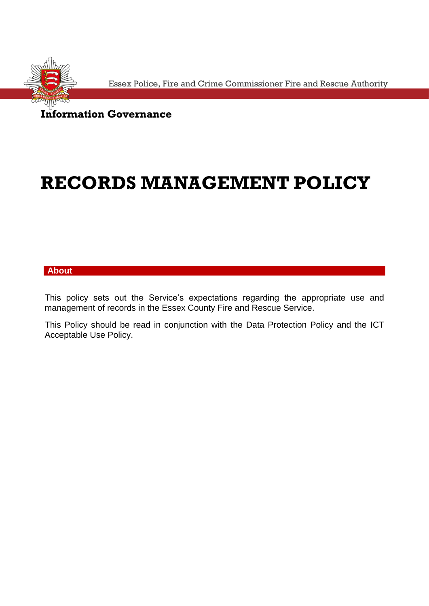

Essex Police, Fire and Crime Commissioner Fire and Rescue Authority

**Information Governance**

## **RECORDS MANAGEMENT POLICY**

## **About**

This policy sets out the Service's expectations regarding the appropriate use and management of records in the Essex County Fire and Rescue Service.

This Policy should be read in conjunction with the Data Protection Policy and the ICT Acceptable Use Policy.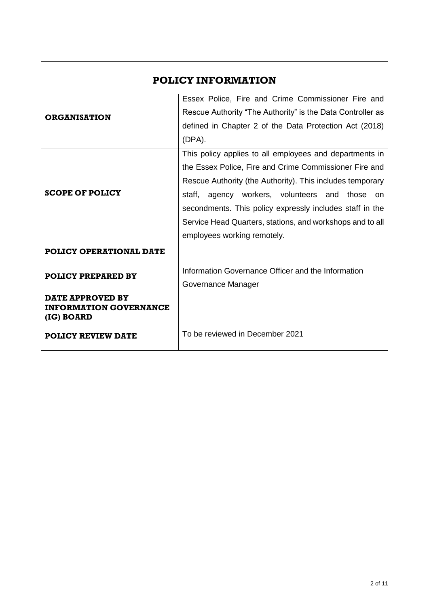| <b>POLICY INFORMATION</b>                                              |                                                                 |
|------------------------------------------------------------------------|-----------------------------------------------------------------|
|                                                                        | Essex Police, Fire and Crime Commissioner Fire and              |
| <b>ORGANISATION</b>                                                    | Rescue Authority "The Authority" is the Data Controller as      |
|                                                                        | defined in Chapter 2 of the Data Protection Act (2018)          |
|                                                                        | $(DPA)$ .                                                       |
|                                                                        | This policy applies to all employees and departments in         |
|                                                                        | the Essex Police, Fire and Crime Commissioner Fire and          |
|                                                                        | Rescue Authority (the Authority). This includes temporary       |
| <b>SCOPE OF POLICY</b>                                                 | staff, agency workers, volunteers and<br>those<br><sub>on</sub> |
|                                                                        | secondments. This policy expressly includes staff in the        |
|                                                                        | Service Head Quarters, stations, and workshops and to all       |
|                                                                        | employees working remotely.                                     |
| <b>POLICY OPERATIONAL DATE</b>                                         |                                                                 |
| <b>POLICY PREPARED BY</b>                                              | Information Governance Officer and the Information              |
|                                                                        | Governance Manager                                              |
| <b>DATE APPROVED BY</b><br><b>INFORMATION GOVERNANCE</b><br>(IG) BOARD |                                                                 |
| <b>POLICY REVIEW DATE</b>                                              | To be reviewed in December 2021                                 |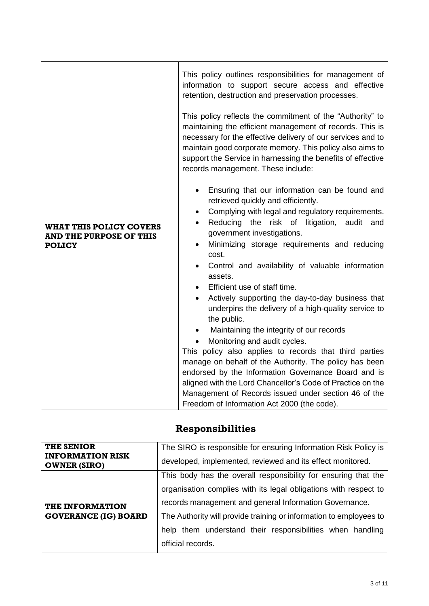| <b>WHAT THIS POLICY COVERS</b><br><b>AND THE PURPOSE OF THIS</b><br><b>POLICY</b> | This policy outlines responsibilities for management of<br>information to support secure access and effective<br>retention, destruction and preservation processes.<br>This policy reflects the commitment of the "Authority" to<br>maintaining the efficient management of records. This is<br>necessary for the effective delivery of our services and to<br>maintain good corporate memory. This policy also aims to<br>support the Service in harnessing the benefits of effective<br>records management. These include:<br>Ensuring that our information can be found and<br>$\bullet$<br>retrieved quickly and efficiently.<br>Complying with legal and regulatory requirements.<br>$\bullet$<br>Reducing the risk of litigation, audit and<br>$\bullet$<br>government investigations.<br>Minimizing storage requirements and reducing<br>$\bullet$<br>cost. |
|-----------------------------------------------------------------------------------|--------------------------------------------------------------------------------------------------------------------------------------------------------------------------------------------------------------------------------------------------------------------------------------------------------------------------------------------------------------------------------------------------------------------------------------------------------------------------------------------------------------------------------------------------------------------------------------------------------------------------------------------------------------------------------------------------------------------------------------------------------------------------------------------------------------------------------------------------------------------|
|                                                                                   | Control and availability of valuable information<br>assets.<br>Efficient use of staff time.<br>Actively supporting the day-to-day business that<br>underpins the delivery of a high-quality service to<br>the public.<br>Maintaining the integrity of our records<br>Monitoring and audit cycles.<br>$\bullet$<br>This policy also applies to records that third parties<br>manage on behalf of the Authority. The policy has been<br>endorsed by the Information Governance Board and is<br>aligned with the Lord Chancellor's Code of Practice on the                                                                                                                                                                                                                                                                                                            |
|                                                                                   | Management of Records issued under section 46 of the<br>Freedom of Information Act 2000 (the code).                                                                                                                                                                                                                                                                                                                                                                                                                                                                                                                                                                                                                                                                                                                                                                |

## **Responsibilities**

| <b>THE SENIOR</b>                                     | The SIRO is responsible for ensuring Information Risk Policy is    |
|-------------------------------------------------------|--------------------------------------------------------------------|
| <b>INFORMATION RISK</b><br><b>OWNER (SIRO)</b>        | developed, implemented, reviewed and its effect monitored.         |
| <b>THE INFORMATION</b><br><b>GOVERANCE (IG) BOARD</b> | This body has the overall responsibility for ensuring that the     |
|                                                       | organisation complies with its legal obligations with respect to   |
|                                                       | records management and general Information Governance.             |
|                                                       | The Authority will provide training or information to employees to |
|                                                       | help them understand their responsibilities when handling          |
|                                                       | official records.                                                  |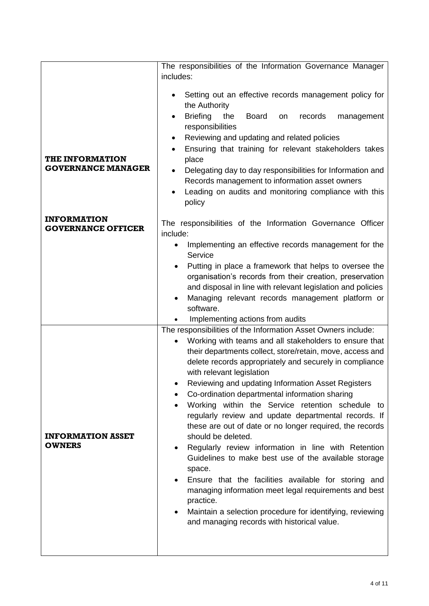|                                                     | The responsibilities of the Information Governance Manager                                                      |
|-----------------------------------------------------|-----------------------------------------------------------------------------------------------------------------|
|                                                     | includes:                                                                                                       |
|                                                     | Setting out an effective records management policy for<br>the Authority                                         |
|                                                     | <b>Briefing</b><br>the<br><b>Board</b><br>records<br>management<br>on<br>responsibilities                       |
|                                                     | Reviewing and updating and related policies<br>٠                                                                |
|                                                     | Ensuring that training for relevant stakeholders takes                                                          |
| <b>THE INFORMATION</b><br><b>GOVERNANCE MANAGER</b> | place<br>Delegating day to day responsibilities for Information and<br>$\bullet$                                |
|                                                     | Records management to information asset owners                                                                  |
|                                                     | Leading on audits and monitoring compliance with this<br>$\bullet$<br>policy                                    |
| <b>INFORMATION</b>                                  |                                                                                                                 |
| <b>GOVERNANCE OFFICER</b>                           | The responsibilities of the Information Governance Officer<br>include:                                          |
|                                                     | Implementing an effective records management for the<br>Service                                                 |
|                                                     | Putting in place a framework that helps to oversee the                                                          |
|                                                     | organisation's records from their creation, preservation                                                        |
|                                                     | and disposal in line with relevant legislation and policies<br>Managing relevant records management platform or |
|                                                     | software.                                                                                                       |
|                                                     | Implementing actions from audits<br>The responsibilities of the Information Asset Owners include:               |
|                                                     | Working with teams and all stakeholders to ensure that                                                          |
|                                                     | their departments collect, store/retain, move, access and                                                       |
|                                                     | delete records appropriately and securely in compliance<br>with relevant legislation                            |
|                                                     | Reviewing and updating Information Asset Registers                                                              |
|                                                     | Co-ordination departmental information sharing                                                                  |
|                                                     | Working within the Service retention schedule to<br>regularly review and update departmental records. If        |
|                                                     | these are out of date or no longer required, the records                                                        |
| <b>INFORMATION ASSET</b><br><b>OWNERS</b>           | should be deleted.                                                                                              |
|                                                     | Regularly review information in line with Retention<br>Guidelines to make best use of the available storage     |
|                                                     | space.                                                                                                          |
|                                                     | Ensure that the facilities available for storing and<br>managing information meet legal requirements and best   |
|                                                     | practice.                                                                                                       |
|                                                     | Maintain a selection procedure for identifying, reviewing<br>and managing records with historical value.        |
|                                                     |                                                                                                                 |
|                                                     |                                                                                                                 |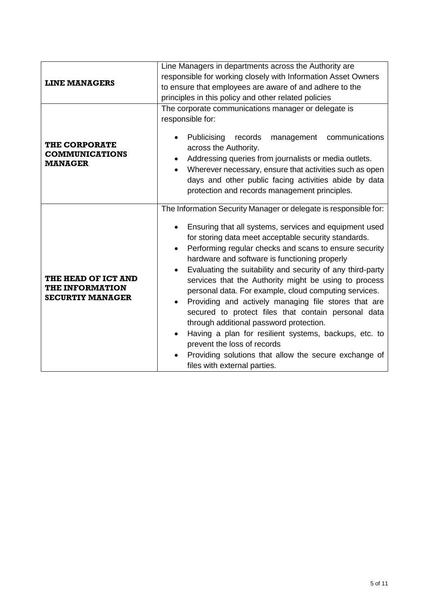| <b>LINE MANAGERS</b>                                                     | Line Managers in departments across the Authority are<br>responsible for working closely with Information Asset Owners<br>to ensure that employees are aware of and adhere to the<br>principles in this policy and other related policies                                                                                                                                                                                                                                                                                                                                                                                                                                                                                                                                                                                |
|--------------------------------------------------------------------------|--------------------------------------------------------------------------------------------------------------------------------------------------------------------------------------------------------------------------------------------------------------------------------------------------------------------------------------------------------------------------------------------------------------------------------------------------------------------------------------------------------------------------------------------------------------------------------------------------------------------------------------------------------------------------------------------------------------------------------------------------------------------------------------------------------------------------|
| <b>THE CORPORATE</b><br><b>COMMUNICATIONS</b><br><b>MANAGER</b>          | The corporate communications manager or delegate is<br>responsible for:<br>communications<br>Publicising<br>records<br>management<br>across the Authority.<br>Addressing queries from journalists or media outlets.<br>Wherever necessary, ensure that activities such as open<br>days and other public facing activities abide by data<br>protection and records management principles.                                                                                                                                                                                                                                                                                                                                                                                                                                 |
| THE HEAD OF ICT AND<br><b>THE INFORMATION</b><br><b>SECURTIY MANAGER</b> | The Information Security Manager or delegate is responsible for:<br>Ensuring that all systems, services and equipment used<br>for storing data meet acceptable security standards.<br>Performing regular checks and scans to ensure security<br>hardware and software is functioning properly<br>Evaluating the suitability and security of any third-party<br>services that the Authority might be using to process<br>personal data. For example, cloud computing services.<br>Providing and actively managing file stores that are<br>secured to protect files that contain personal data<br>through additional password protection.<br>Having a plan for resilient systems, backups, etc. to<br>prevent the loss of records<br>Providing solutions that allow the secure exchange of<br>files with external parties. |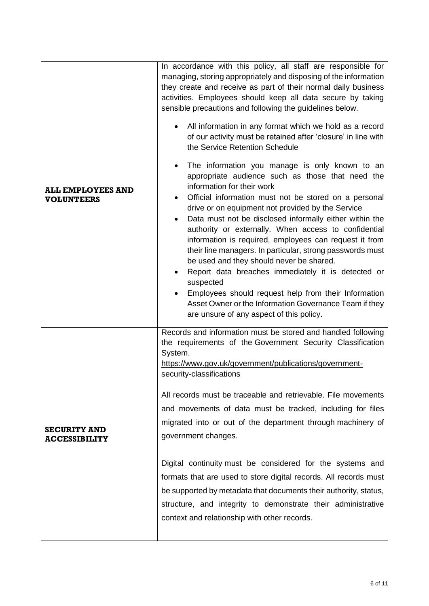| <b>ALL EMPLOYEES AND</b><br><b>VOLUNTEERS</b> | In accordance with this policy, all staff are responsible for<br>managing, storing appropriately and disposing of the information<br>they create and receive as part of their normal daily business<br>activities. Employees should keep all data secure by taking<br>sensible precautions and following the guidelines below.<br>All information in any format which we hold as a record<br>of our activity must be retained after 'closure' in line with<br>the Service Retention Schedule<br>The information you manage is only known to an<br>appropriate audience such as those that need the<br>information for their work<br>Official information must not be stored on a personal<br>drive or on equipment not provided by the Service<br>Data must not be disclosed informally either within the<br>authority or externally. When access to confidential<br>information is required, employees can request it from<br>their line managers. In particular, strong passwords must<br>be used and they should never be shared.<br>Report data breaches immediately it is detected or<br>suspected<br>Employees should request help from their Information<br>Asset Owner or the Information Governance Team if they<br>are unsure of any aspect of this policy. |
|-----------------------------------------------|-----------------------------------------------------------------------------------------------------------------------------------------------------------------------------------------------------------------------------------------------------------------------------------------------------------------------------------------------------------------------------------------------------------------------------------------------------------------------------------------------------------------------------------------------------------------------------------------------------------------------------------------------------------------------------------------------------------------------------------------------------------------------------------------------------------------------------------------------------------------------------------------------------------------------------------------------------------------------------------------------------------------------------------------------------------------------------------------------------------------------------------------------------------------------------------------------------------------------------------------------------------------------|
| <b>SECURITY AND</b><br><b>ACCESSIBILITY</b>   | Records and information must be stored and handled following<br>the requirements of the Government Security Classification<br>System.<br>https://www.gov.uk/government/publications/government-<br>security-classifications<br>All records must be traceable and retrievable. File movements<br>and movements of data must be tracked, including for files<br>migrated into or out of the department through machinery of<br>government changes.<br>Digital continuity must be considered for the systems and<br>formats that are used to store digital records. All records must<br>be supported by metadata that documents their authority, status,<br>structure, and integrity to demonstrate their administrative<br>context and relationship with other records.                                                                                                                                                                                                                                                                                                                                                                                                                                                                                                 |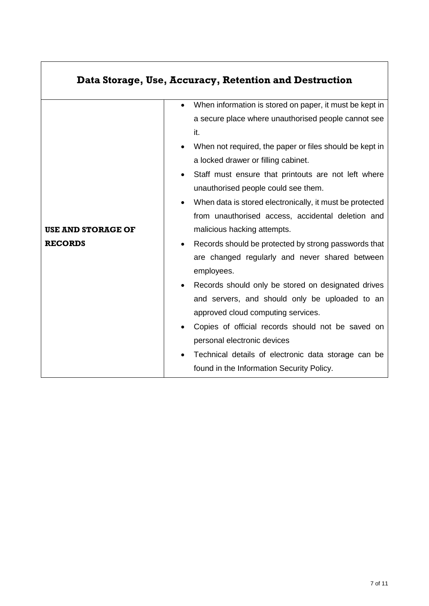|                           | Data Storage, Use, Accuracy, Retention and Destruction                |
|---------------------------|-----------------------------------------------------------------------|
|                           | When information is stored on paper, it must be kept in<br>$\bullet$  |
|                           | a secure place where unauthorised people cannot see                   |
|                           | it.                                                                   |
|                           | When not required, the paper or files should be kept in<br>$\bullet$  |
|                           | a locked drawer or filling cabinet.                                   |
|                           | Staff must ensure that printouts are not left where<br>$\bullet$      |
|                           | unauthorised people could see them.                                   |
|                           | When data is stored electronically, it must be protected<br>$\bullet$ |
|                           | from unauthorised access, accidental deletion and                     |
| <b>USE AND STORAGE OF</b> | malicious hacking attempts.                                           |
| <b>RECORDS</b>            | Records should be protected by strong passwords that                  |
|                           | are changed regularly and never shared between                        |
|                           | employees.                                                            |
|                           | Records should only be stored on designated drives                    |
|                           | and servers, and should only be uploaded to an                        |
|                           | approved cloud computing services.                                    |
|                           | Copies of official records should not be saved on                     |
|                           | personal electronic devices                                           |
|                           | Technical details of electronic data storage can be                   |
|                           | found in the Information Security Policy.                             |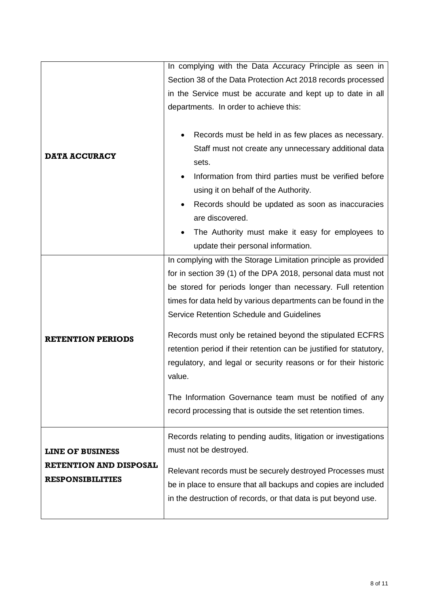|                               | In complying with the Data Accuracy Principle as seen in                                                                         |
|-------------------------------|----------------------------------------------------------------------------------------------------------------------------------|
|                               | Section 38 of the Data Protection Act 2018 records processed                                                                     |
|                               | in the Service must be accurate and kept up to date in all                                                                       |
|                               | departments. In order to achieve this:                                                                                           |
|                               |                                                                                                                                  |
|                               | Records must be held in as few places as necessary.                                                                              |
|                               | Staff must not create any unnecessary additional data                                                                            |
| <b>DATA ACCURACY</b>          | sets.                                                                                                                            |
|                               | Information from third parties must be verified before                                                                           |
|                               | using it on behalf of the Authority.                                                                                             |
|                               | Records should be updated as soon as inaccuracies                                                                                |
|                               | are discovered.                                                                                                                  |
|                               | The Authority must make it easy for employees to<br>$\bullet$                                                                    |
|                               | update their personal information.                                                                                               |
|                               | In complying with the Storage Limitation principle as provided                                                                   |
|                               | for in section 39 (1) of the DPA 2018, personal data must not                                                                    |
|                               | be stored for periods longer than necessary. Full retention                                                                      |
|                               | times for data held by various departments can be found in the                                                                   |
|                               | Service Retention Schedule and Guidelines                                                                                        |
| <b>RETENTION PERIODS</b>      | Records must only be retained beyond the stipulated ECFRS                                                                        |
|                               | retention period if their retention can be justified for statutory,                                                              |
|                               | regulatory, and legal or security reasons or for their historic                                                                  |
|                               | value.                                                                                                                           |
|                               | The Information Governance team must be notified of any                                                                          |
|                               | record processing that is outside the set retention times.                                                                       |
|                               |                                                                                                                                  |
|                               | Records relating to pending audits, litigation or investigations                                                                 |
| <b>LINE OF BUSINESS</b>       | must not be destroyed.                                                                                                           |
| <b>RETENTION AND DISPOSAL</b> |                                                                                                                                  |
| <b>RESPONSIBILITIES</b>       | Relevant records must be securely destroyed Processes must                                                                       |
|                               | be in place to ensure that all backups and copies are included<br>in the destruction of records, or that data is put beyond use. |
|                               |                                                                                                                                  |
|                               |                                                                                                                                  |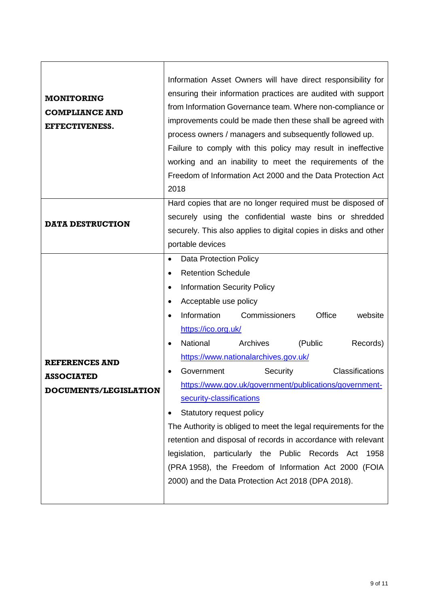| <b>MONITORING</b><br><b>COMPLIANCE AND</b><br>EFFECTIVENESS.        | Information Asset Owners will have direct responsibility for<br>ensuring their information practices are audited with support<br>from Information Governance team. Where non-compliance or<br>improvements could be made then these shall be agreed with<br>process owners / managers and subsequently followed up.<br>Failure to comply with this policy may result in ineffective<br>working and an inability to meet the requirements of the<br>Freedom of Information Act 2000 and the Data Protection Act<br>2018                                                                                                                                                                                                                                                                                           |
|---------------------------------------------------------------------|------------------------------------------------------------------------------------------------------------------------------------------------------------------------------------------------------------------------------------------------------------------------------------------------------------------------------------------------------------------------------------------------------------------------------------------------------------------------------------------------------------------------------------------------------------------------------------------------------------------------------------------------------------------------------------------------------------------------------------------------------------------------------------------------------------------|
|                                                                     | Hard copies that are no longer required must be disposed of<br>securely using the confidential waste bins or shredded                                                                                                                                                                                                                                                                                                                                                                                                                                                                                                                                                                                                                                                                                            |
| <b>DATA DESTRUCTION</b>                                             | securely. This also applies to digital copies in disks and other                                                                                                                                                                                                                                                                                                                                                                                                                                                                                                                                                                                                                                                                                                                                                 |
|                                                                     | portable devices                                                                                                                                                                                                                                                                                                                                                                                                                                                                                                                                                                                                                                                                                                                                                                                                 |
| <b>REFERENCES AND</b><br><b>ASSOCIATED</b><br>DOCUMENTS/LEGISLATION | <b>Data Protection Policy</b><br>$\bullet$<br><b>Retention Schedule</b><br>$\bullet$<br><b>Information Security Policy</b><br>٠<br>Acceptable use policy<br>Information<br>Commissioners<br>Office<br>website<br>https://ico.org.uk/<br>National<br>Archives<br>(Public<br>Records)<br>https://www.nationalarchives.gov.uk/<br><b>Classifications</b><br>Security<br>Government<br>https://www.gov.uk/government/publications/government-<br>security-classifications<br>Statutory request policy<br>The Authority is obliged to meet the legal requirements for the<br>retention and disposal of records in accordance with relevant<br>legislation, particularly the Public Records Act<br>1958<br>(PRA 1958), the Freedom of Information Act 2000 (FOIA<br>2000) and the Data Protection Act 2018 (DPA 2018). |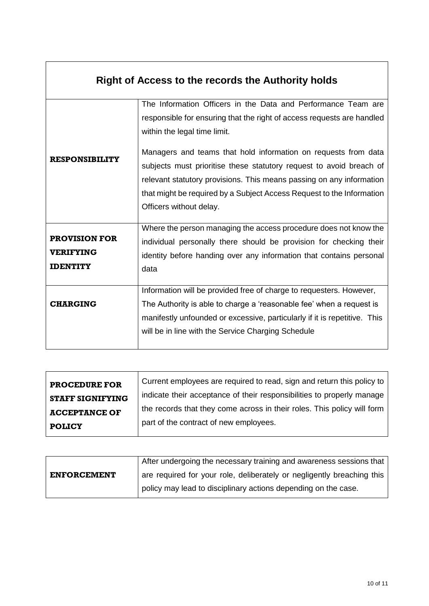|                                                             | <b>Right of Access to the records the Authority holds</b>                                                                                                                                                                                                                                                                                                                                                                                                                                    |
|-------------------------------------------------------------|----------------------------------------------------------------------------------------------------------------------------------------------------------------------------------------------------------------------------------------------------------------------------------------------------------------------------------------------------------------------------------------------------------------------------------------------------------------------------------------------|
| <b>RESPONSIBILITY</b>                                       | The Information Officers in the Data and Performance Team are<br>responsible for ensuring that the right of access requests are handled<br>within the legal time limit.<br>Managers and teams that hold information on requests from data<br>subjects must prioritise these statutory request to avoid breach of<br>relevant statutory provisions. This means passing on any information<br>that might be required by a Subject Access Request to the Information<br>Officers without delay. |
| <b>PROVISION FOR</b><br><b>VERIFYING</b><br><b>IDENTITY</b> | Where the person managing the access procedure does not know the<br>individual personally there should be provision for checking their<br>identity before handing over any information that contains personal<br>data                                                                                                                                                                                                                                                                        |
| <b>CHARGING</b>                                             | Information will be provided free of charge to requesters. However,<br>The Authority is able to charge a 'reasonable fee' when a request is<br>manifestly unfounded or excessive, particularly if it is repetitive. This<br>will be in line with the Service Charging Schedule                                                                                                                                                                                                               |

| <b>PROCEDURE FOR</b>    | Current employees are required to read, sign and return this policy to  |
|-------------------------|-------------------------------------------------------------------------|
| <b>STAFF SIGNIFYING</b> | indicate their acceptance of their responsibilities to properly manage  |
| <b>ACCEPTANCE OF</b>    | the records that they come across in their roles. This policy will form |
| <b>POLICY</b>           | part of the contract of new employees.                                  |

|                    | After undergoing the necessary training and awareness sessions that    |
|--------------------|------------------------------------------------------------------------|
| <b>ENFORCEMENT</b> | are required for your role, deliberately or negligently breaching this |
|                    | policy may lead to disciplinary actions depending on the case.         |

 $\overline{\phantom{a}}$